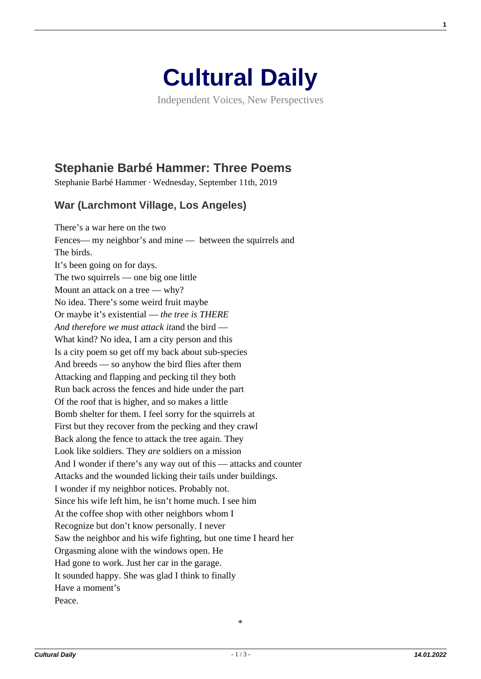

Independent Voices, New Perspectives

## **[Stephanie Barbé Hammer: Three Poems](https://culturaldaily.com/stephanie-barbe-hammer-three-poems/)**

Stephanie Barbé Hammer · Wednesday, September 11th, 2019

## **War (Larchmont Village, Los Angeles)**

There's a war here on the two Fences— my neighbor's and mine — between the squirrels and The birds. It's been going on for days. The two squirrels — one big one little Mount an attack on a tree — why? No idea. There's some weird fruit maybe Or maybe it's existential — *the tree is THERE And therefore we must attack it*and the bird — What kind? No idea, I am a city person and this Is a city poem so get off my back about sub-species And breeds — so anyhow the bird flies after them Attacking and flapping and pecking til they both Run back across the fences and hide under the part Of the roof that is higher, and so makes a little Bomb shelter for them. I feel sorry for the squirrels at First but they recover from the pecking and they crawl Back along the fence to attack the tree again. They Look like soldiers. They *are* soldiers on a mission And I wonder if there's any way out of this — attacks and counter Attacks and the wounded licking their tails under buildings. I wonder if my neighbor notices. Probably not. Since his wife left him, he isn't home much. I see him At the coffee shop with other neighbors whom I Recognize but don't know personally. I never Saw the neighbor and his wife fighting, but one time I heard her Orgasming alone with the windows open. He Had gone to work. Just her car in the garage. It sounded happy. She was glad I think to finally Have a moment's Peace.

\*

**1**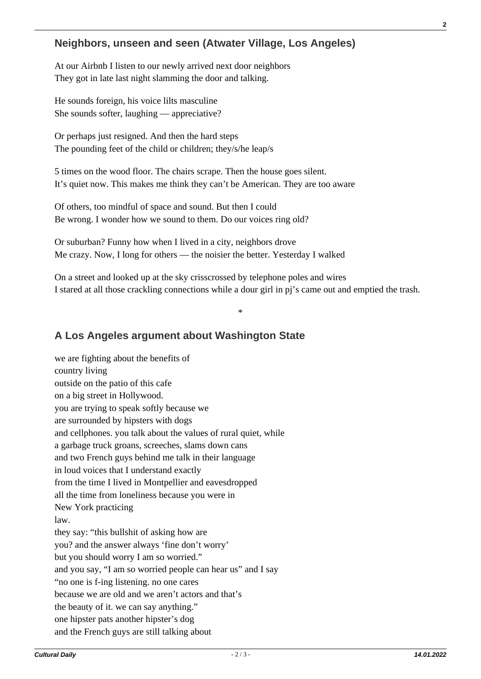## **Neighbors, unseen and seen (Atwater Village, Los Angeles)**

At our Airbnb I listen to our newly arrived next door neighbors They got in late last night slamming the door and talking.

He sounds foreign, his voice lilts masculine She sounds softer, laughing — appreciative?

Or perhaps just resigned. And then the hard steps The pounding feet of the child or children; they/s/he leap/s

5 times on the wood floor. The chairs scrape. Then the house goes silent. It's quiet now. This makes me think they can't be American. They are too aware

Of others, too mindful of space and sound. But then I could Be wrong. I wonder how we sound to them. Do our voices ring old?

Or suburban? Funny how when I lived in a city, neighbors drove Me crazy. Now, I long for others — the noisier the better. Yesterday I walked

On a street and looked up at the sky crisscrossed by telephone poles and wires I stared at all those crackling connections while a dour girl in pj's came out and emptied the trash.

\*

## **A Los Angeles argument about Washington State**

we are fighting about the benefits of country living outside on the patio of this cafe on a big street in Hollywood. you are trying to speak softly because we are surrounded by hipsters with dogs and cellphones. you talk about the values of rural quiet, while a garbage truck groans, screeches, slams down cans and two French guys behind me talk in their language in loud voices that I understand exactly from the time I lived in Montpellier and eavesdropped all the time from loneliness because you were in New York practicing law. they say: "this bullshit of asking how are you? and the answer always 'fine don't worry' but you should worry I am so worried." and you say, "I am so worried people can hear us" and I say "no one is f-ing listening. no one cares because we are old and we aren't actors and that's the beauty of it. we can say anything." one hipster pats another hipster's dog and the French guys are still talking about